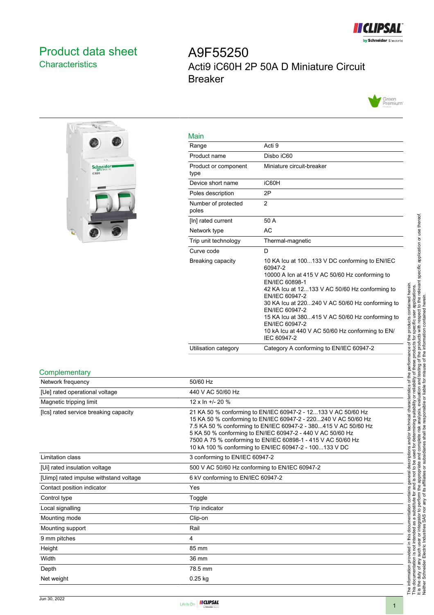

## <span id="page-0-0"></span>Product data sheet **Characteristics**

# A9F55250 Acti9 iC60H 2P 50A D Miniature Circuit Breaker





| Main                         |                                                                                                                                                                                                                                                                                                                                                                                                               |
|------------------------------|---------------------------------------------------------------------------------------------------------------------------------------------------------------------------------------------------------------------------------------------------------------------------------------------------------------------------------------------------------------------------------------------------------------|
| Range                        | Acti 9                                                                                                                                                                                                                                                                                                                                                                                                        |
| Product name                 | Disbo iC60                                                                                                                                                                                                                                                                                                                                                                                                    |
| Product or component<br>type | Miniature circuit-breaker                                                                                                                                                                                                                                                                                                                                                                                     |
| Device short name            | iC60H                                                                                                                                                                                                                                                                                                                                                                                                         |
| Poles description            | 2P                                                                                                                                                                                                                                                                                                                                                                                                            |
| Number of protected<br>poles | 2                                                                                                                                                                                                                                                                                                                                                                                                             |
| [In] rated current           | 50 A                                                                                                                                                                                                                                                                                                                                                                                                          |
| Network type                 | <b>AC</b>                                                                                                                                                                                                                                                                                                                                                                                                     |
| Trip unit technology         | Thermal-magnetic                                                                                                                                                                                                                                                                                                                                                                                              |
| Curve code                   | D                                                                                                                                                                                                                                                                                                                                                                                                             |
| Breaking capacity            | 10 KA Icu at 100133 V DC conforming to EN/IEC<br>60947-2<br>10000 A Icn at 415 V AC 50/60 Hz conforming to<br>EN/IEC 60898-1<br>42 KA lcu at 12133 V AC 50/60 Hz conforming to<br>EN/IEC 60947-2<br>30 KA lcu at 220240 V AC 50/60 Hz conforming to<br>EN/IEC 60947-2<br>15 KA lcu at 380415 V AC 50/60 Hz conforming to<br>EN/IEC 60947-2<br>10 kA lcu at 440 V AC 50/60 Hz conforming to EN/<br>IEC 60947-2 |
| Utilisation category         | Category A conforming to EN/IEC 60947-2                                                                                                                                                                                                                                                                                                                                                                       |

#### **Complementary**

| 50/60 Hz<br>440 V AC 50/60 Hz<br>$12 \times \ln +120 \%$<br>21 KA 50 % conforming to EN/IEC 60947-2 - 12133 V AC 50/60 Hz<br>15 KA 50 % conforming to EN/IEC 60947-2 - 220240 V AC 50/60 Hz                                                             |
|---------------------------------------------------------------------------------------------------------------------------------------------------------------------------------------------------------------------------------------------------------|
|                                                                                                                                                                                                                                                         |
|                                                                                                                                                                                                                                                         |
|                                                                                                                                                                                                                                                         |
| 7.5 KA 50 % conforming to EN/IEC 60947-2 - 380415 V AC 50/60 Hz<br>5 KA 50 % conforming to EN/IEC 60947-2 - 440 V AC 50/60 Hz<br>7500 A 75 % conforming to EN/IEC 60898-1 - 415 V AC 50/60 Hz<br>10 kA 100 % conforming to EN/IEC 60947-2 - 100133 V DC |
| 3 conforming to EN/IEC 60947-2                                                                                                                                                                                                                          |
| 500 V AC 50/60 Hz conforming to EN/IEC 60947-2                                                                                                                                                                                                          |
| 6 kV conforming to EN/IEC 60947-2                                                                                                                                                                                                                       |
| Yes                                                                                                                                                                                                                                                     |
| Toggle                                                                                                                                                                                                                                                  |
| Trip indicator                                                                                                                                                                                                                                          |
| Clip-on                                                                                                                                                                                                                                                 |
| Rail                                                                                                                                                                                                                                                    |
| 4                                                                                                                                                                                                                                                       |
| 85 mm                                                                                                                                                                                                                                                   |
| 36 mm                                                                                                                                                                                                                                                   |
| 78.5 mm                                                                                                                                                                                                                                                 |
| $0.25$ kg                                                                                                                                                                                                                                               |
|                                                                                                                                                                                                                                                         |